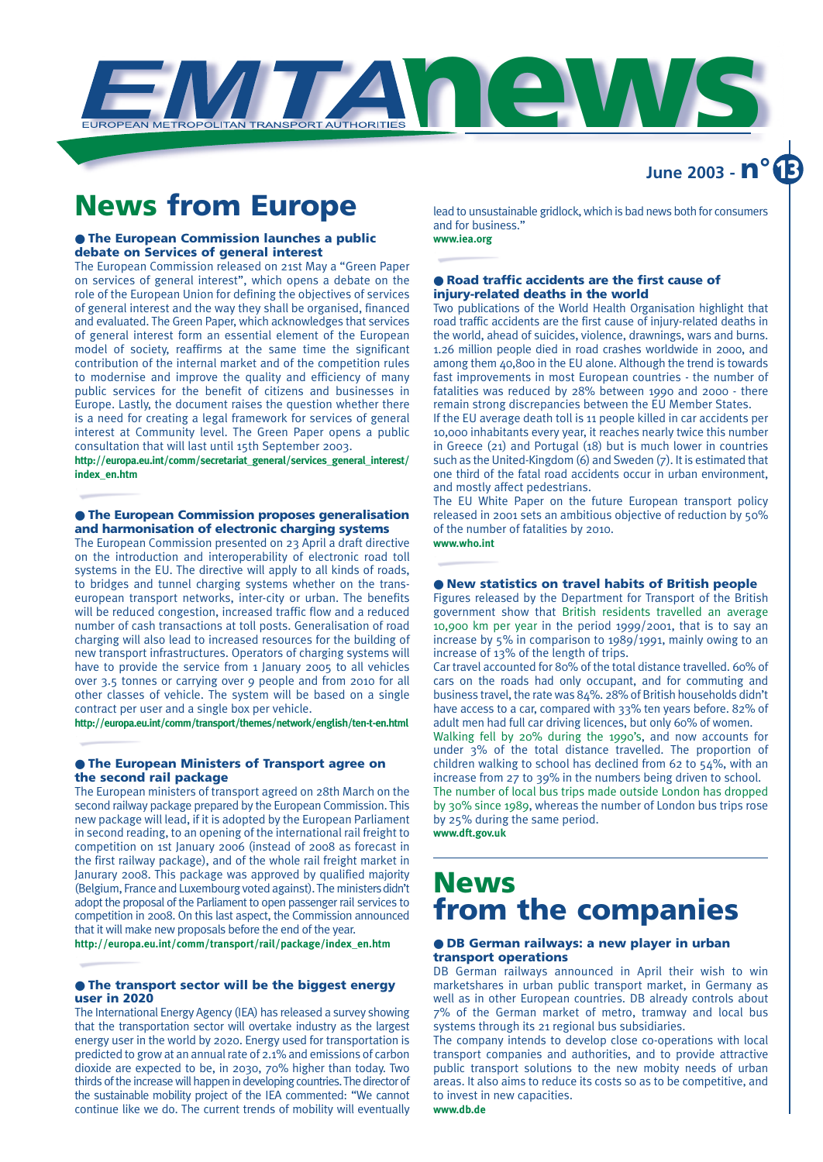

## **News from Europe**

#### ● **The European Commission launches a public debate on Services of general interest**

The European Commission released on 21st May a "Green Paper on services of general interest", which opens a debate on the role of the European Union for defining the objectives of services of general interest and the way they shall be organised, financed and evaluated. The Green Paper, which acknowledges that services of general interest form an essential element of the European model of society, reaffirms at the same time the significant contribution of the internal market and of the competition rules to modernise and improve the quality and efficiency of many public services for the benefit of citizens and businesses in Europe. Lastly, the document raises the question whether there is a need for creating a legal framework for services of general interest at Community level. The Green Paper opens a public consultation that will last until 15th September 2003.

**http://europa.eu.int/comm/secretariat\_general/services\_general\_interest/ index\_en.htm**

#### ● **The European Commission proposes generalisation and harmonisation of electronic charging systems**

The European Commission presented on 23 April a draft directive on the introduction and interoperability of electronic road toll systems in the EU. The directive will apply to all kinds of roads, to bridges and tunnel charging systems whether on the transeuropean transport networks, inter-city or urban. The benefits will be reduced congestion, increased traffic flow and a reduced number of cash transactions at toll posts. Generalisation of road charging will also lead to increased resources for the building of new transport infrastructures. Operators of charging systems will have to provide the service from 1 January 2005 to all vehicles over 3.5 tonnes or carrying over 9 people and from 2010 for all other classes of vehicle. The system will be based on a single contract per user and a single box per vehicle.

**http://europa.eu.int/comm/transport/themes/network/english/ten-t-en.html**

#### ● **The European Ministers of Transport agree on the second rail package**

The European ministers of transport agreed on 28th March on the second railway package prepared by the European Commission. This new package will lead, if it is adopted by the European Parliament in second reading, to an opening of the international rail freight to competition on 1st January 2006 (instead of 2008 as forecast in the first railway package), and of the whole rail freight market in Janurary 2008. This package was approved by qualified majority (Belgium, France and Luxembourg voted against). The ministers didn't adopt the proposal of the Parliament to open passenger rail services to competition in 2008. On this last aspect, the Commission announced that it will make new proposals before the end of the year.

**http://europa.eu.int/comm/transport/rail/package/index\_en.htm**

#### ● **The transport sector will be the biggest energy user in 2020**

The International Energy Agency (IEA) has released a survey showing that the transportation sector will overtake industry as the largest energy user in the world by 2020. Energy used for transportation is predicted to grow at an annual rate of 2.1% and emissions of carbon dioxide are expected to be, in 2030, 70% higher than today. Two thirds of the increase will happen in developing countries. The director of the sustainable mobility project of the IEA commented: "We cannot continue like we do. The current trends of mobility will eventually lead to unsustainable gridlock, which is bad news both for consumers and for business."

**June 2003 - n° 13**

#### **www.iea.org**

#### ● **Road traffic accidents are the first cause of injury-related deaths in the world**

Two publications of the World Health Organisation highlight that road traffic accidents are the first cause of injury-related deaths in the world, ahead of suicides, violence, drawnings, wars and burns. 1.26 million people died in road crashes worldwide in 2000, and among them 40,800 in the EU alone. Although the trend is towards fast improvements in most European countries - the number of fatalities was reduced by 28% between 1990 and 2000 - there remain strong discrepancies between the EU Member States.

If the EU average death toll is 11 people killed in car accidents per 10,000 inhabitants every year, it reaches nearly twice this number in Greece (21) and Portugal (18) but is much lower in countries such as the United-Kingdom (6) and Sweden (7). It is estimated that one third of the fatal road accidents occur in urban environment, and mostly affect pedestrians.

The EU White Paper on the future European transport policy released in 2001 sets an ambitious objective of reduction by 50% of the number of fatalities by 2010. **www.who.int**

#### ● **New statistics on travel habits of British people**

Figures released by the Department for Transport of the British government show that British residents travelled an average 10,900 km per year in the period 1999/2001, that is to say an increase by 5% in comparison to 1989/1991, mainly owing to an increase of 13% of the length of trips.

Car travel accounted for 80% of the total distance travelled. 60% of cars on the roads had only occupant, and for commuting and business travel, the rate was 84%. 28% of British households didn't have access to a car, compared with 33% ten years before. 82% of adult men had full car driving licences, but only 60% of women.

Walking fell by 20% during the 1990's, and now accounts for under 3% of the total distance travelled. The proportion of children walking to school has declined from 62 to 54%, with an increase from 27 to 39% in the numbers being driven to school. The number of local bus trips made outside London has dropped by 30% since 1989, whereas the number of London bus trips rose by 25% during the same period. **www.dft.gov.uk**

### **News from the companies**

#### ● **DB German railways: a new player in urban transport operations**

DB German railways announced in April their wish to win marketshares in urban public transport market, in Germany as well as in other European countries. DB already controls about 7% of the German market of metro, tramway and local bus systems through its 21 regional bus subsidiaries.

The company intends to develop close co-operations with local transport companies and authorities, and to provide attractive public transport solutions to the new mobity needs of urban areas. It also aims to reduce its costs so as to be competitive, and to invest in new capacities. **www.db.de**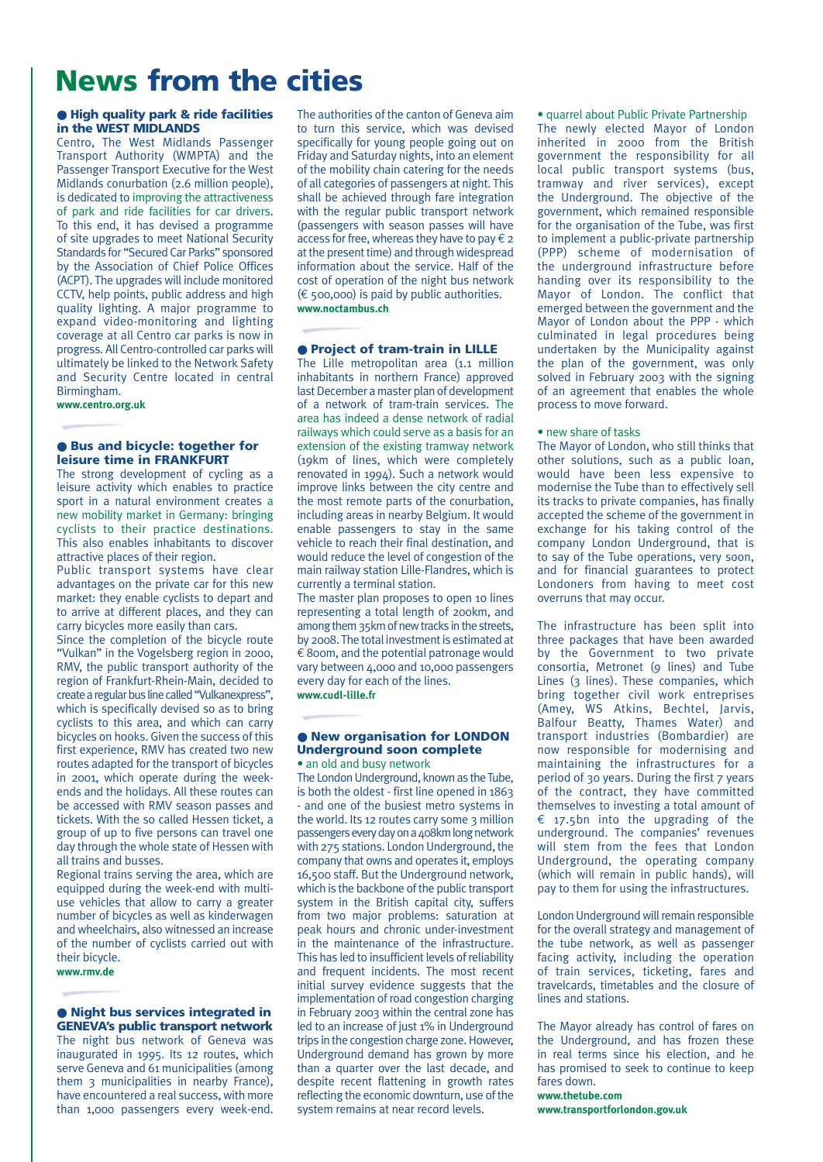## **News from the cities**

#### ● **High quality park & ride facilities in the WEST MIDLANDS**

Centro, The West Midlands Passenger Transport Authority (WMPTA) and the Passenger Transport Executive for the West Midlands conurbation (2.6 million people), is dedicated to improving the attractiveness of park and ride facilities for car drivers. To this end, it has devised a programme of site upgrades to meet National Security Standards for "Secured Car Parks" sponsored by the Association of Chief Police Offices (ACPT). The upgrades will include monitored CCTV, help points, public address and high quality lighting. A major programme to expand video-monitoring and lighting coverage at all Centro car parks is now in progress. All Centro-controlled car parks will ultimately be linked to the Network Safety and Security Centre located in central Birmingham.

**www.centro.org.uk**

#### ● **Bus and bicycle: together for leisure time in FRANKFURT**

The strong development of cycling as a leisure activity which enables to practice sport in a natural environment creates a new mobility market in Germany: bringing cyclists to their practice destinations. This also enables inhabitants to discover attractive places of their region.

Public transport systems have clear advantages on the private car for this new market: they enable cyclists to depart and to arrive at different places, and they can carry bicycles more easily than cars.

Since the completion of the bicycle route "Vulkan" in the Vogelsberg region in 2000, RMV, the public transport authority of the region of Frankfurt-Rhein-Main, decided to create a regular bus line called "Vulkanexpress", which is specifically devised so as to bring cyclists to this area, and which can carry bicycles on hooks. Given the success of this first experience, RMV has created two new routes adapted for the transport of bicycles in 2001, which operate during the weekends and the holidays. All these routes can be accessed with RMV season passes and tickets. With the so called Hessen ticket, a group of up to five persons can travel one day through the whole state of Hessen with all trains and busses.

Regional trains serving the area, which are equipped during the week-end with multiuse vehicles that allow to carry a greater number of bicycles as well as kinderwagen and wheelchairs, also witnessed an increase of the number of cyclists carried out with their bicycle.

#### **www.rmv.de**

#### ● **Night bus services integrated in GENEVA's public transport network**

The night bus network of Geneva was inaugurated in 1995. Its 12 routes, which serve Geneva and 61 municipalities (among them 3 municipalities in nearby France), have encountered a real success, with more than 1,000 passengers every week-end.

The authorities of the canton of Geneva aim to turn this service, which was devised specifically for young people going out on Friday and Saturday nights, into an element of the mobility chain catering for the needs of all categories of passengers at night. This shall be achieved through fare integration with the regular public transport network (passengers with season passes will have access for free, whereas they have to pay  $\epsilon$  2 at the present time) and through widespread information about the service. Half of the cost of operation of the night bus network  $(\epsilon$  500,000) is paid by public authorities. **www.noctambus.ch**

#### ● **Project of tram-train in LILLE**

The Lille metropolitan area (1.1 million inhabitants in northern France) approved last December a master plan of development of a network of tram-train services. The area has indeed a dense network of radial railways which could serve as a basis for an extension of the existing tramway network (19km of lines, which were completely renovated in 1994). Such a network would improve links between the city centre and the most remote parts of the conurbation, including areas in nearby Belgium. It would enable passengers to stay in the same vehicle to reach their final destination, and would reduce the level of congestion of the main railway station Lille-Flandres, which is currently a terminal station.

The master plan proposes to open 10 lines representing a total length of 200km, and among them 35km of new tracks in the streets, by 2008. The total investment is estimated at  $\epsilon$  800m, and the potential patronage would vary between 4,000 and 10,000 passengers every day for each of the lines. **www.cudl-lille.fr**

#### ● **New organisation for LONDON Underground soon complete** • an old and busy network

The London Underground, known as the Tube, is both the oldest - first line opened in 1863 - and one of the busiest metro systems in the world. Its 12 routes carry some 3 million passengers every day on a 408km long network with 275 stations. London Underground, the company that owns and operates it, employs 16,500 staff. But the Underground network, which is the backbone of the public transport system in the British capital city, suffers from two major problems: saturation at peak hours and chronic under-investment in the maintenance of the infrastructure. This has led to insufficient levels of reliability and frequent incidents. The most recent initial survey evidence suggests that the implementation of road congestion charging in February 2003 within the central zone has led to an increase of just 1% in Underground trips in the congestion charge zone. However, Underground demand has grown by more than a quarter over the last decade, and despite recent flattening in growth rates reflecting the economic downturn, use of the system remains at near record levels.

• quarrel about Public Private Partnership The newly elected Mayor of London inherited in 2000 from the British government the responsibility for all local public transport systems (bus, tramway and river services), except the Underground. The objective of the government, which remained responsible for the organisation of the Tube, was first to implement a public-private partnership (PPP) scheme of modernisation of the underground infrastructure before handing over its responsibility to the Mayor of London. The conflict that emerged between the government and the Mayor of London about the PPP - which culminated in legal procedures being undertaken by the Municipality against the plan of the government, was only solved in February 2003 with the signing of an agreement that enables the whole process to move forward.

#### • new share of tasks

The Mayor of London, who still thinks that other solutions, such as a public loan, would have been less expensive to modernise the Tube than to effectively sell its tracks to private companies, has finally accepted the scheme of the government in exchange for his taking control of the company London Underground, that is to say of the Tube operations, very soon, and for financial guarantees to protect Londoners from having to meet cost overruns that may occur.

The infrastructure has been split into three packages that have been awarded by the Government to two private consortia, Metronet (9 lines) and Tube Lines (3 lines). These companies, which bring together civil work entreprises (Amey, WS Atkins, Bechtel, Jarvis, Balfour Beatty, Thames Water) and transport industries (Bombardier) are now responsible for modernising and maintaining the infrastructures for a period of 30 years. During the first 7 years of the contract, they have committed themselves to investing a total amount of € 17.5bn into the upgrading of the underground. The companies' revenues will stem from the fees that London Underground, the operating company (which will remain in public hands), will pay to them for using the infrastructures.

London Underground will remain responsible for the overall strategy and management of the tube network, as well as passenger facing activity, including the operation of train services, ticketing, fares and travelcards, timetables and the closure of lines and stations.

The Mayor already has control of fares on the Underground, and has frozen these in real terms since his election, and he has promised to seek to continue to keep fares down.

**www.thetube.com www.transportforlondon.gov.uk**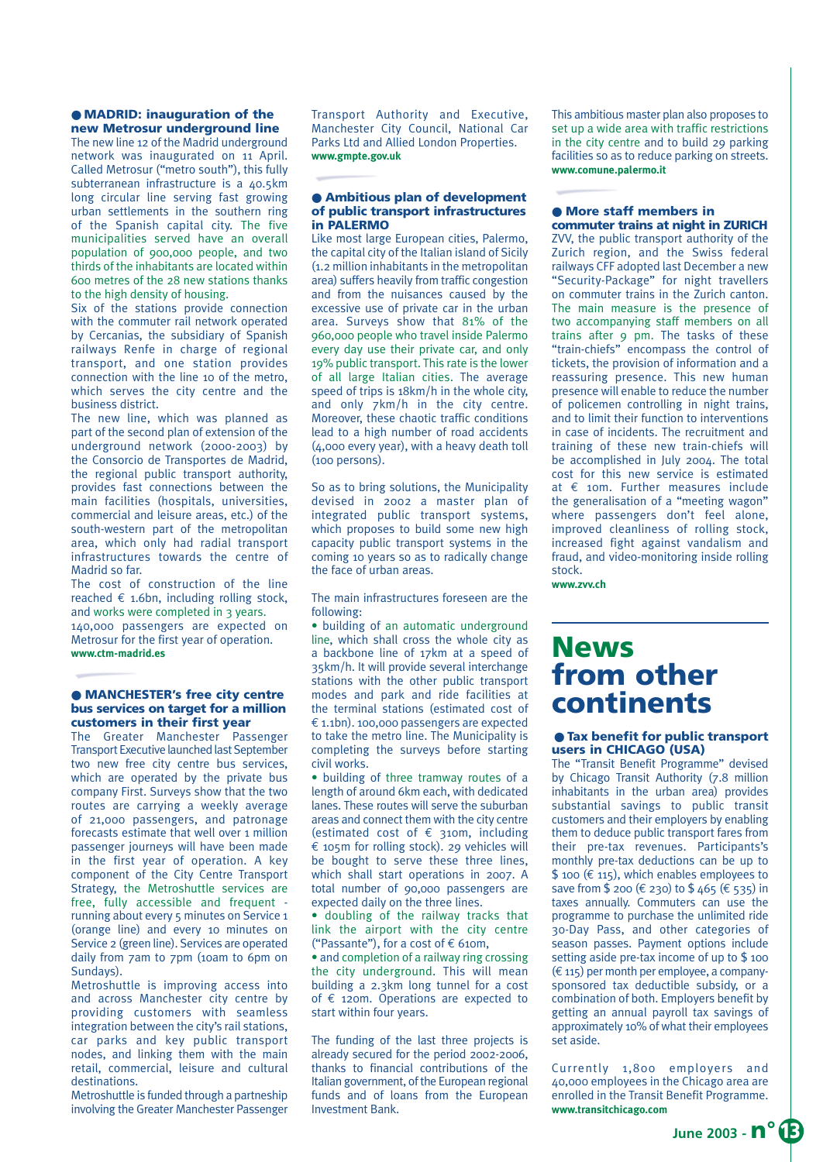#### ● **MADRID: inauguration of the new Metrosur underground line**

The new line 12 of the Madrid underground network was inaugurated on 11 April. Called Metrosur ("metro south"), this fully subterranean infrastructure is a 40.5km long circular line serving fast growing urban settlements in the southern ring of the Spanish capital city. The five municipalities served have an overall population of 900,000 people, and two thirds of the inhabitants are located within 600 metres of the 28 new stations thanks to the high density of housing.

Six of the stations provide connection with the commuter rail network operated by Cercanias, the subsidiary of Spanish railways Renfe in charge of regional transport, and one station provides connection with the line 10 of the metro, which serves the city centre and the business district.

The new line, which was planned as part of the second plan of extension of the underground network (2000-2003) by the Consorcio de Transportes de Madrid, the regional public transport authority, provides fast connections between the main facilities (hospitals, universities, commercial and leisure areas, etc.) of the south-western part of the metropolitan area, which only had radial transport infrastructures towards the centre of Madrid so far.

The cost of construction of the line reached  $\epsilon$  1.6bn, including rolling stock, and works were completed in 3 years. 140,000 passengers are expected on Metrosur for the first year of operation. **www.ctm-madrid.es**

#### ● **MANCHESTER's free city centre bus services on target for a million customers in their first year**

The Greater Manchester Passenger Transport Executive launched last September two new free city centre bus services, which are operated by the private bus company First. Surveys show that the two routes are carrying a weekly average of 21,000 passengers, and patronage forecasts estimate that well over 1 million passenger journeys will have been made in the first year of operation. A key component of the City Centre Transport Strategy, the Metroshuttle services are free, fully accessible and frequent running about every 5 minutes on Service 1 (orange line) and every 10 minutes on Service 2 (green line). Services are operated daily from 7am to 7pm (10am to 6pm on Sundays).

Metroshuttle is improving access into and across Manchester city centre by providing customers with seamless integration between the city's rail stations, car parks and key public transport nodes, and linking them with the main retail, commercial, leisure and cultural destinations.

Metroshuttle is funded through a partneship involving the Greater Manchester Passenger Transport Authority and Executive, Manchester City Council, National Car Parks Ltd and Allied London Properties. **www.gmpte.gov.uk**

#### ● **Ambitious plan of development of public transport infrastructures in PALERMO**

Like most large European cities, Palermo, the capital city of the Italian island of Sicily (1.2 million inhabitants in the metropolitan area) suffers heavily from traffic congestion and from the nuisances caused by the excessive use of private car in the urban area. Surveys show that 81% of the 960,000 people who travel inside Palermo every day use their private car, and only 19% public transport. This rate is the lower of all large Italian cities. The average speed of trips is 18km/h in the whole city, and only 7km/h in the city centre. Moreover, these chaotic traffic conditions lead to a high number of road accidents (4,000 every year), with a heavy death toll (100 persons).

So as to bring solutions, the Municipality devised in 2002 a master plan of integrated public transport systems, which proposes to build some new high capacity public transport systems in the coming 10 years so as to radically change the face of urban areas.

The main infrastructures foreseen are the following:

• building of an automatic underground line, which shall cross the whole city as a backbone line of 17km at a speed of 35km/h. It will provide several interchange stations with the other public transport modes and park and ride facilities at the terminal stations (estimated cost of € 1.1bn). 100,000 passengers are expected to take the metro line. The Municipality is completing the surveys before starting civil works.

• building of three tramway routes of a length of around 6km each, with dedicated lanes. These routes will serve the suburban areas and connect them with the city centre (estimated cost of  $\epsilon$  310m, including € 105m for rolling stock). 29 vehicles will be bought to serve these three lines, which shall start operations in 2007. A total number of 90,000 passengers are expected daily on the three lines.

• doubling of the railway tracks that link the airport with the city centre ("Passante"), for a cost of  $\epsilon$  610m,

• and completion of a railway ring crossing the city underground. This will mean building a 2.3km long tunnel for a cost of € 120m. Operations are expected to start within four years.

The funding of the last three projects is already secured for the period 2002-2006, thanks to financial contributions of the Italian government, of the European regional funds and of loans from the European Investment Bank.

This ambitious master plan also proposes to set up a wide area with traffic restrictions in the city centre and to build 29 parking facilities so as to reduce parking on streets. **www.comune.palermo.it**

#### ● **More staff members in commuter trains at night in ZURICH**

ZVV, the public transport authority of the Zurich region, and the Swiss federal railways CFF adopted last December a new "Security-Package" for night travellers on commuter trains in the Zurich canton. The main measure is the presence of two accompanying staff members on all trains after 9 pm. The tasks of these "train-chiefs" encompass the control of tickets, the provision of information and a reassuring presence. This new human presence will enable to reduce the number of policemen controlling in night trains, and to limit their function to interventions in case of incidents. The recruitment and training of these new train-chiefs will be accomplished in July 2004. The total cost for this new service is estimated at € 10m. Further measures include the generalisation of a "meeting wagon" where passengers don't feel alone, improved cleanliness of rolling stock, increased fight against vandalism and fraud, and video-monitoring inside rolling stock.

**www.zvv.ch** 

## **News from other continents**

#### ● **Tax benefit for public transport users in CHICAGO (USA)**

The "Transit Benefit Programme" devised by Chicago Transit Authority (7.8 million inhabitants in the urban area) provides substantial savings to public transit customers and their employers by enabling them to deduce public transport fares from their pre-tax revenues. Participants's monthly pre-tax deductions can be up to \$ 100 ( $\epsilon$  115), which enables employees to save from \$ 200 (€ 230) to \$ 465 (€ 535) in taxes annually. Commuters can use the programme to purchase the unlimited ride 30-Day Pass, and other categories of season passes. Payment options include setting aside pre-tax income of up to \$ 100  $(\epsilon$  115) per month per employee, a companysponsored tax deductible subsidy, or a combination of both. Employers benefit by getting an annual payroll tax savings of approximately 10% of what their employees set aside.

Currently 1,800 employers and 40,000 employees in the Chicago area are enrolled in the Transit Benefit Programme. **www.transitchicago.com**

**June 2003 - n° 13**